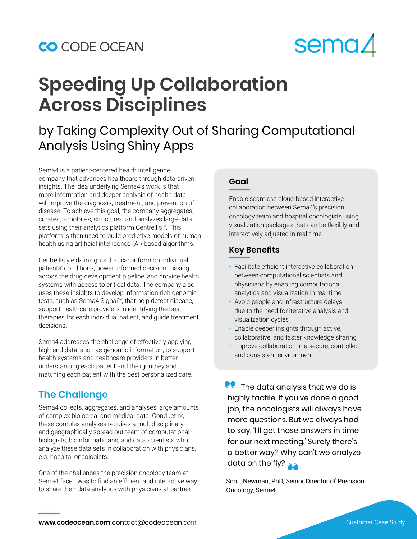### CO CODE OCEAN

# **sema4**

## **Speeding Up Collaboration Across Disciplines**

## by Taking Complexity Out of Sharing Computational Analysis Using Shiny Apps

Sema4 is a patient-centered health intelligence company that advances healthcare through data-driven insights. The idea underlying Sema4's work is that more information and deeper analysis of health data will improve the diagnosis, treatment, and prevention of disease. To achieve this goal, the company aggregates, curates, annotates, structures, and analyzes large data sets using their analytics platform Centrellis™. This platform is then used to build predictive models of human health using artificial intelligence (AI)-based algorithms.

Centrellis yields insights that can inform on individual patients' conditions, power informed decision-making across the drug development pipeline, and provide health systems with access to critical data. The company also uses these insights to develop information-rich genomic tests, such as Sema4 Signal™, that help detect disease, support healthcare providers in identifying the best therapies for each individual patient, and guide treatment decisions.

Sema4 addresses the challenge of effectively applying high-end data, such as genomic information, to support health systems and healthcare providers in better understanding each patient and their journey and matching each patient with the best personalized care.

#### **The Challenge**

Sema4 collects, aggregates, and analyses large amounts of complex biological and medical data. Conducting these complex analyses requires a multidisciplinary and geographically spread out team of computational biologists, bioinformaticians, and data scientists who analyze these data sets in collaboration with physicians, e.g. hospital oncologists.

One of the challenges the precision oncology team at Sema4 faced was to find an efficient and interactive way to share their data analytics with physicians at partner

#### **Goal**

Enable seamless cloud-based interactive collaboration between Sema4's precision oncology team and hospital oncologists using visualization packages that can be flexibly and interactively adjusted in real-time.

#### **Key Benefits**

- Facilitate efficient interactive collaboration between computational scientists and physicians by enabling computational analytics and visualization in real-time
- Avoid people and infrastructure delays due to the need for iterative analysis and visualization cycles
- Enable deeper insights through active, collaborative, and faster knowledge sharing
- Improve collaboration in a secure, controlled and consistent environment

 $\bullet$  The data analysis that we do is highly tactile. If you've done a good job, the oncologists will always have more questions. But we always had to say, 'l'll get those answers in time for our next meeting.' Surely there's a better way? Why can't we analyze data on the fly?

Scott Newman, PhD, Senior Director of Precision Oncology, Sema4